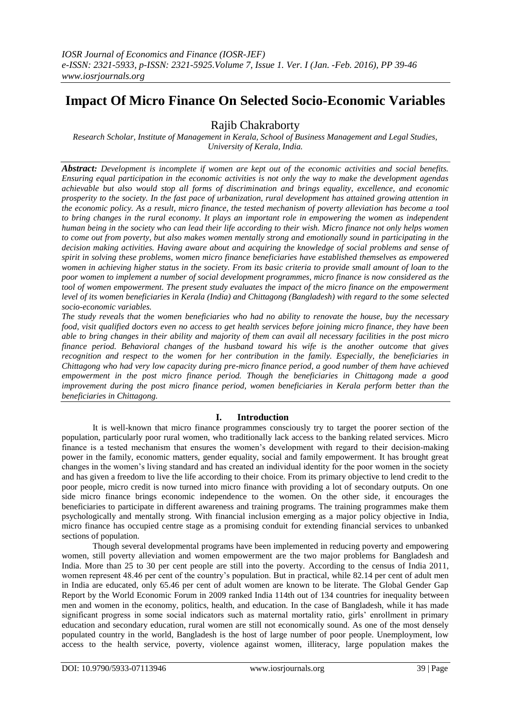# **Impact Of Micro Finance On Selected Socio-Economic Variables**

Rajib Chakraborty

*Research Scholar, Institute of Management in Kerala, School of Business Management and Legal Studies, University of Kerala, India.*

*Abstract: Development is incomplete if women are kept out of the economic activities and social benefits. Ensuring equal participation in the economic activities is not only the way to make the development agendas achievable but also would stop all forms of discrimination and brings equality, excellence, and economic prosperity to the society. In the fast pace of urbanization, rural development has attained growing attention in the economic policy. As a result, micro finance, the tested mechanism of poverty alleviation has become a tool to bring changes in the rural economy. It plays an important role in empowering the women as independent human being in the society who can lead their life according to their wish. Micro finance not only helps women to come out from poverty, but also makes women mentally strong and emotionally sound in participating in the decision making activities. Having aware about and acquiring the knowledge of social problems and sense of spirit in solving these problems, women micro finance beneficiaries have established themselves as empowered women in achieving higher status in the society. From its basic criteria to provide small amount of loan to the poor women to implement a number of social development programmes, micro finance is now considered as the tool of women empowerment. The present study evaluates the impact of the micro finance on the empowerment level of its women beneficiaries in Kerala (India) and Chittagong (Bangladesh) with regard to the some selected socio-economic variables.* 

*The study reveals that the women beneficiaries who had no ability to renovate the house, buy the necessary food, visit qualified doctors even no access to get health services before joining micro finance, they have been able to bring changes in their ability and majority of them can avail all necessary facilities in the post micro finance period. Behavioral changes of the husband toward his wife is the another outcome that gives recognition and respect to the women for her contribution in the family. Especially, the beneficiaries in Chittagong who had very low capacity during pre-micro finance period, a good number of them have achieved empowerment in the post micro finance period. Though the beneficiaries in Chittagong made a good improvement during the post micro finance period, women beneficiaries in Kerala perform better than the beneficiaries in Chittagong.*

# **I. Introduction**

It is well-known that micro finance programmes consciously try to target the poorer section of the population, particularly poor rural women, who traditionally lack access to the banking related services. Micro finance is a tested mechanism that ensures the women's development with regard to their decision-making power in the family, economic matters, gender equality, social and family empowerment. It has brought great changes in the women's living standard and has created an individual identity for the poor women in the society and has given a freedom to live the life according to their choice. From its primary objective to lend credit to the poor people, micro credit is now turned into micro finance with providing a lot of secondary outputs. On one side micro finance brings economic independence to the women. On the other side, it encourages the beneficiaries to participate in different awareness and training programs. The training programmes make them psychologically and mentally strong. With financial inclusion emerging as a major policy objective in India, micro finance has occupied centre stage as a promising conduit for extending financial services to unbanked sections of population.

Though several developmental programs have been implemented in reducing poverty and empowering women, still poverty alleviation and women empowerment are the two major problems for Bangladesh and India. More than 25 to 30 per cent people are still into the poverty. According to the census of India 2011, women represent 48.46 per cent of the country's population. But in practical, while 82.14 per cent of adult men in India are educated, only 65.46 per cent of adult women are known to be literate. The Global Gender Gap Report by the World Economic Forum in 2009 ranked India 114th out of 134 countries for inequality between men and women in the economy, politics, health, and education. In the case of Bangladesh, while it has made significant progress in some social indicators such as maternal mortality ratio, girls' enrollment in primary education and secondary education, rural women are still not economically sound. As one of the most densely populated country in the world, Bangladesh is the host of large number of poor people. Unemployment, low access to the health service, poverty, violence against women, illiteracy, large population makes the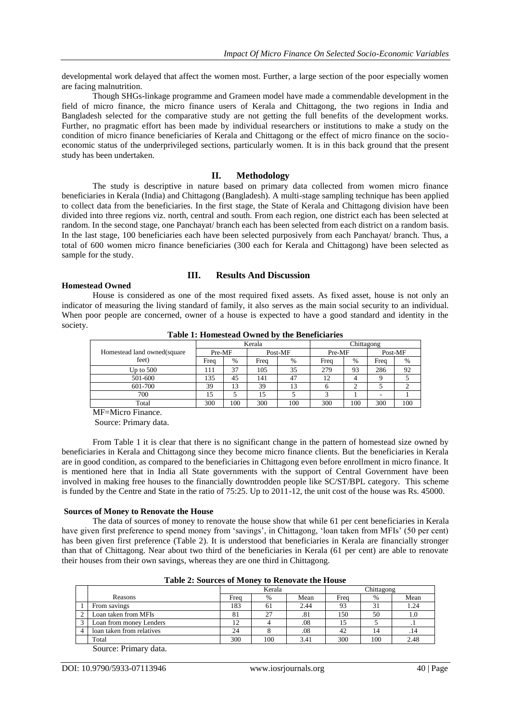developmental work delayed that affect the women most. Further, a large section of the poor especially women are facing malnutrition.

Though SHGs-linkage programme and Grameen model have made a commendable development in the field of micro finance, the micro finance users of Kerala and Chittagong, the two regions in India and Bangladesh selected for the comparative study are not getting the full benefits of the development works. Further, no pragmatic effort has been made by individual researchers or institutions to make a study on the condition of micro finance beneficiaries of Kerala and Chittagong or the effect of micro finance on the socioeconomic status of the underprivileged sections, particularly women. It is in this back ground that the present study has been undertaken.

#### **II. Methodology**

The study is descriptive in nature based on primary data collected from women micro finance beneficiaries in Kerala (India) and Chittagong (Bangladesh). A multi-stage sampling technique has been applied to collect data from the beneficiaries. In the first stage, the State of Kerala and Chittagong division have been divided into three regions viz. north, central and south. From each region, one district each has been selected at random. In the second stage, one Panchayat/ branch each has been selected from each district on a random basis. In the last stage, 100 beneficiaries each have been selected purposively from each Panchayat/ branch. Thus, a total of 600 women micro finance beneficiaries (300 each for Kerala and Chittagong) have been selected as sample for the study.

#### **Homestead Owned**

#### **III. Results And Discussion**

House is considered as one of the most required fixed assets. As fixed asset, house is not only an indicator of measuring the living standard of family, it also serves as the main social security to an individual. When poor people are concerned, owner of a house is expected to have a good standard and identity in the society.

|                             |        |      | Kerala  |     | Chittagong |      |         |     |  |
|-----------------------------|--------|------|---------|-----|------------|------|---------|-----|--|
| Homestead land owned(square | Pre-MF |      | Post-MF |     | Pre-MF     |      | Post-MF |     |  |
| feet)                       | Freq   | $\%$ | Freq    | %   | Freq       | $\%$ | Freq    | %   |  |
| Up to 500                   | 111    | 37   | 105     | 35  | 279        | 93   | 286     | 92  |  |
| 501-600                     | 135    | 45   | 141     | 47  | 12         |      |         |     |  |
| 601-700                     | 39     | 13   | 39      | 13  | o          | ◠    |         |     |  |
| 700                         | 15     |      | 15      |     |            |      |         |     |  |
| Total                       | 300    | 100  | 300     | 100 | 300        | 100  | 300     | 100 |  |

**Table 1: Homestead Owned by the Beneficiaries**

MF=Micro Finance.

Source: Primary data.

From Table 1 it is clear that there is no significant change in the pattern of homestead size owned by beneficiaries in Kerala and Chittagong since they become micro finance clients. But the beneficiaries in Kerala are in good condition, as compared to the beneficiaries in Chittagong even before enrollment in micro finance. It is mentioned here that in India all State governments with the support of Central Government have been involved in making free houses to the financially downtrodden people like SC/ST/BPL category. This scheme is funded by the Centre and State in the ratio of 75:25. Up to 2011-12, the unit cost of the house was Rs. 45000.

#### **Sources of Money to Renovate the House**

The data of sources of money to renovate the house show that while 61 per cent beneficiaries in Kerala have given first preference to spend money from 'savings', in Chittagong, 'loan taken from MFIs' (50 per cent) has been given first preference (Table 2). It is understood that beneficiaries in Kerala are financially stronger than that of Chittagong. Near about two third of the beneficiaries in Kerala (61 per cent) are able to renovate their houses from their own savings, whereas they are one third in Chittagong.

|  |  |  | Table 2: Sources of Money to Renovate the House |  |
|--|--|--|-------------------------------------------------|--|
|--|--|--|-------------------------------------------------|--|

|                                    |      | Kerala |      | Chittagong |               |      |  |
|------------------------------------|------|--------|------|------------|---------------|------|--|
| Reasons                            | Freq | $\%$   | Mean | Frea       | $\frac{0}{0}$ | Mean |  |
| From savings                       | 183  | 61     | 2.44 | 93         | 31            | 1.24 |  |
| Loan taken from MFIs               | δI   | 27     | .81  | 150        | 50            | 1.0  |  |
| Loan from money Lenders            |      |        | .08  |            |               |      |  |
| loan taken from relatives          | 24   |        | .08  | 42         | 14            | .14  |  |
| Total                              | 300  | 100    | 3.41 | 300        | 100           | 2.48 |  |
| $\sim$<br>$\sim$ $\cdot$<br>$\sim$ |      |        |      |            |               |      |  |

Source: Primary data.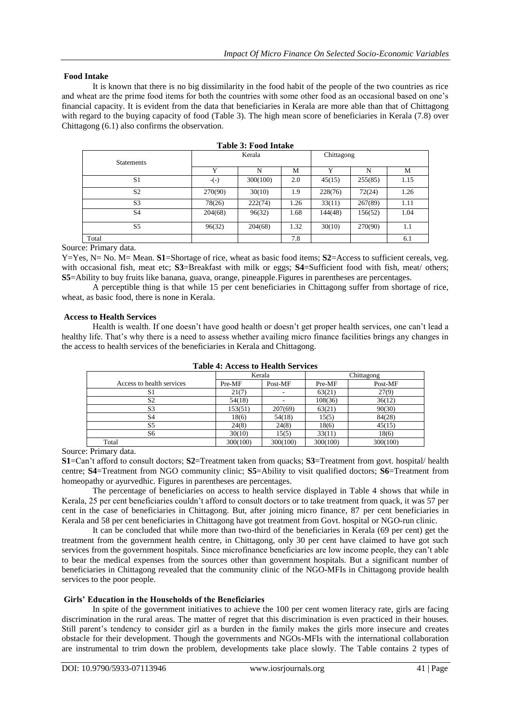## **Food Intake**

It is known that there is no big dissimilarity in the food habit of the people of the two countries as rice and wheat are the prime food items for both the countries with some other food as an occasional based on one's financial capacity. It is evident from the data that beneficiaries in Kerala are more able than that of Chittagong with regard to the buying capacity of food (Table 3). The high mean score of beneficiaries in Kerala (7.8) over Chittagong (6.1) also confirms the observation.

| <b>Statements</b> |         | Kerala   |      | Chittagong  |         |      |  |
|-------------------|---------|----------|------|-------------|---------|------|--|
|                   | Y       | N        | М    | $\mathbf v$ | N       | М    |  |
| S <sub>1</sub>    | $-(-)$  | 300(100) | 2.0  | 45(15)      | 255(85) | 1.15 |  |
| S <sub>2</sub>    | 270(90) | 30(10)   | 1.9  | 228(76)     | 72(24)  | 1.26 |  |
| S <sub>3</sub>    | 78(26)  | 222(74)  | 1.26 | 33(11)      | 267(89) | 1.11 |  |
| S <sub>4</sub>    | 204(68) | 96(32)   | 1.68 | 144(48)     | 156(52) | 1.04 |  |
| S <sub>5</sub>    | 96(32)  | 204(68)  | 1.32 | 30(10)      | 270(90) | 1.1  |  |
| Total             |         |          | 7.8  |             |         | 6.1  |  |

|  | Table 3: Food Intake |
|--|----------------------|
|--|----------------------|

Source: Primary data.

Y=Yes, N= No. M= Mean. **S1**=Shortage of rice, wheat as basic food items; **S2**=Access to sufficient cereals, veg. with occasional fish, meat etc; **S3**=Breakfast with milk or eggs; **S4**=Sufficient food with fish, meat/ others; **S5**=Ability to buy fruits like banana, guava, orange, pineapple.Figures in parentheses are percentages.

A perceptible thing is that while 15 per cent beneficiaries in Chittagong suffer from shortage of rice, wheat, as basic food, there is none in Kerala.

#### **Access to Health Services**

Health is wealth. If one doesn't have good health or doesn't get proper health services, one can't lead a healthy life. That's why there is a need to assess whether availing micro finance facilities brings any changes in the access to health services of the beneficiaries in Kerala and Chittagong.

| тимне -н тессом го тестини мет тесм |          |          |            |          |  |  |  |  |  |  |  |
|-------------------------------------|----------|----------|------------|----------|--|--|--|--|--|--|--|
|                                     |          | Kerala   | Chittagong |          |  |  |  |  |  |  |  |
| Access to health services           | Pre-MF   | Post-MF  | Pre-MF     | Post-MF  |  |  |  |  |  |  |  |
| S1                                  | 21(7)    |          | 63(21)     | 27(9)    |  |  |  |  |  |  |  |
| S <sub>2</sub>                      | 54(18)   |          | 108(36)    | 36(12)   |  |  |  |  |  |  |  |
| S <sub>3</sub>                      | 153(51)  | 207(69)  | 63(21)     | 90(30)   |  |  |  |  |  |  |  |
| S <sub>4</sub>                      | 18(6)    | 54(18)   | 15(5)      | 84(28)   |  |  |  |  |  |  |  |
| S5                                  | 24(8)    | 24(8)    | 18(6)      | 45(15)   |  |  |  |  |  |  |  |
| S6                                  | 30(10)   | 15(5)    | 33(11)     | 18(6)    |  |  |  |  |  |  |  |
| Total                               | 300(100) | 300(100) | 300(100)   | 300(100) |  |  |  |  |  |  |  |

**Table 4: Access to Health Services**

Source: Primary data.

**S1**=Can't afford to consult doctors; **S2**=Treatment taken from quacks; **S3**=Treatment from govt. hospital/ health centre; **S4**=Treatment from NGO community clinic; **S5**=Ability to visit qualified doctors; **S6**=Treatment from homeopathy or ayurvedhic. Figures in parentheses are percentages.

The percentage of beneficiaries on access to health service displayed in Table 4 shows that while in Kerala, 25 per cent beneficiaries couldn't afford to consult doctors or to take treatment from quack, it was 57 per cent in the case of beneficiaries in Chittagong. But, after joining micro finance, 87 per cent beneficiaries in Kerala and 58 per cent beneficiaries in Chittagong have got treatment from Govt. hospital or NGO-run clinic.

It can be concluded that while more than two-third of the beneficiaries in Kerala (69 per cent) get the treatment from the government health centre, in Chittagong, only 30 per cent have claimed to have got such services from the government hospitals. Since microfinance beneficiaries are low income people, they can't able to bear the medical expenses from the sources other than government hospitals. But a significant number of beneficiaries in Chittagong revealed that the community clinic of the NGO-MFIs in Chittagong provide health services to the poor people.

# **Girls' Education in the Households of the Beneficiaries**

In spite of the government initiatives to achieve the 100 per cent women literacy rate, girls are facing discrimination in the rural areas. The matter of regret that this discrimination is even practiced in their houses. Still parent's tendency to consider girl as a burden in the family makes the girls more insecure and creates obstacle for their development. Though the governments and NGOs-MFIs with the international collaboration are instrumental to trim down the problem, developments take place slowly. The Table contains 2 types of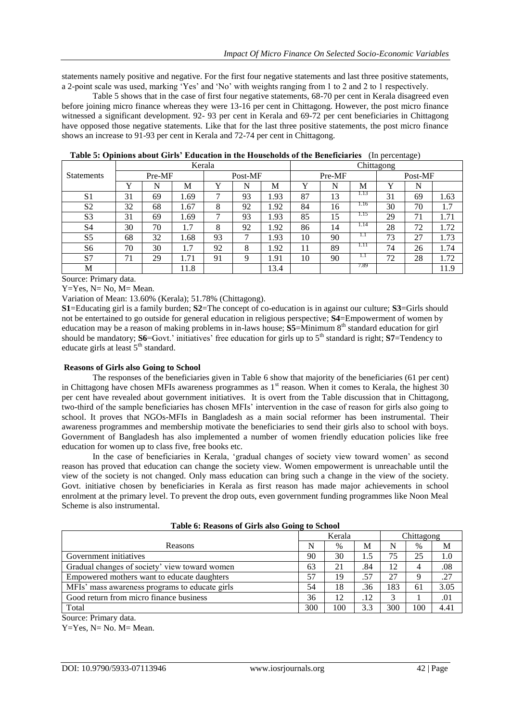statements namely positive and negative. For the first four negative statements and last three positive statements, a 2-point scale was used, marking 'Yes' and 'No' with weights ranging from 1 to 2 and 2 to 1 respectively.

Table 5 shows that in the case of first four negative statements, 68-70 per cent in Kerala disagreed even before joining micro finance whereas they were 13-16 per cent in Chittagong. However, the post micro finance witnessed a significant development. 92- 93 per cent in Kerala and 69-72 per cent beneficiaries in Chittagong have opposed those negative statements. Like that for the last three positive statements, the post micro finance shows an increase to 91-93 per cent in Kerala and 72-74 per cent in Chittagong.

|                | Kerala      |    |      |             |    | Chittagong |        |    |      |         |    |      |
|----------------|-------------|----|------|-------------|----|------------|--------|----|------|---------|----|------|
| Statements     | Pre-MF      |    |      | Post-MF     |    |            | Pre-MF |    |      | Post-MF |    |      |
|                | $\mathbf v$ | N  | M    | $\mathbf v$ | N  | M          | v      | N  | M    | Y       | N  |      |
| S <sub>1</sub> | 31          | 69 | 1.69 | ⇁           | 93 | .93        | 87     | 13 | 1.13 | 31      | 69 | 1.63 |
| S <sub>2</sub> | 32          | 68 | 1.67 | 8           | 92 | .92        | 84     | 16 | 1.16 | 30      | 70 | 1.7  |
| S <sub>3</sub> | 31          | 69 | 1.69 | ⇁           | 93 | .93        | 85     | 15 | 1.15 | 29      | 71 | 1.71 |
| S <sub>4</sub> | 30          | 70 | 1.7  | 8           | 92 | 1.92       | 86     | 14 | 1.14 | 28      | 72 | 1.72 |
| S <sub>5</sub> | 68          | 32 | 1.68 | 93          | ⇁  | 1.93       | 10     | 90 | 1.1  | 73      | 27 | 1.73 |
| S <sub>6</sub> | 70          | 30 | 1.7  | 92          | 8  | 1.92       | 11     | 89 | 1.11 | 74      | 26 | 1.74 |
| S7             | 71          | 29 | l.71 | 91          | 9  | l.91       | 10     | 90 | 1.1  | 72      | 28 | 1.72 |
| M              |             |    | 11.8 |             |    | 13.4       |        |    | 7.89 |         |    | 11.9 |

**Table 5: Opinions about Girls' Education in the Households of the Beneficiaries** (In percentage)

Source: Primary data.

 $Y=Y$ es,  $N=N$ o,  $M=$ Mean.

Variation of Mean: 13.60% (Kerala); 51.78% (Chittagong).

**S1**=Educating girl is a family burden; **S2**=The concept of co-education is in against our culture; **S3**=Girls should not be entertained to go outside for general education in religious perspective; **S4**=Empowerment of women by education may be a reason of making problems in in-laws house; **S5**=Minimum 8<sup>th</sup> standard education for girl should be mandatory; **S6**=Govt.' initiatives' free education for girls up to 5<sup>th</sup> standard is right; **S7**=Tendency to educate girls at least  $5<sup>th</sup>$  standard.

#### **Reasons of Girls also Going to School**

The responses of the beneficiaries given in Table 6 show that majority of the beneficiaries (61 per cent) in Chittagong have chosen MFIs awareness programmes as  $1<sup>st</sup>$  reason. When it comes to Kerala, the highest 30 per cent have revealed about government initiatives. It is overt from the Table discussion that in Chittagong, two-third of the sample beneficiaries has chosen MFIs' intervention in the case of reason for girls also going to school. It proves that NGOs-MFIs in Bangladesh as a main social reformer has been instrumental. Their awareness programmes and membership motivate the beneficiaries to send their girls also to school with boys. Government of Bangladesh has also implemented a number of women friendly education policies like free education for women up to class five, free books etc.

In the case of beneficiaries in Kerala, 'gradual changes of society view toward women' as second reason has proved that education can change the society view. Women empowerment is unreachable until the view of the society is not changed. Only mass education can bring such a change in the view of the society. Govt. initiative chosen by beneficiaries in Kerala as first reason has made major achievements in school enrolment at the primary level. To prevent the drop outs, even government funding programmes like Noon Meal Scheme is also instrumental.

|                                                | Kerala<br>Chittagong |      |     |     |      |      |
|------------------------------------------------|----------------------|------|-----|-----|------|------|
| Reasons                                        | N                    | $\%$ | М   | N   | $\%$ | М    |
| Government initiatives                         | 90                   | 30   | 1.5 | 75  | 25   | 1.0  |
| Gradual changes of society' view toward women  | 63                   | 21   | .84 | 12  | 4    | .08  |
| Empowered mothers want to educate daughters    | 57                   | 19   | .57 | 27  | 9    | .27  |
| MFIs' mass awareness programs to educate girls | 54                   | 18   | .36 | 183 | 61   | 3.05 |
| Good return from micro finance business        | 36                   | 12   | .12 | 3   |      | .01  |
| Total                                          | 300                  | 100  | 3.3 | 300 | 100  | 4.41 |
| Source: Primary data.                          |                      |      |     |     |      |      |

**Table 6: Reasons of Girls also Going to School**

Y=Yes, N= No. M= Mean.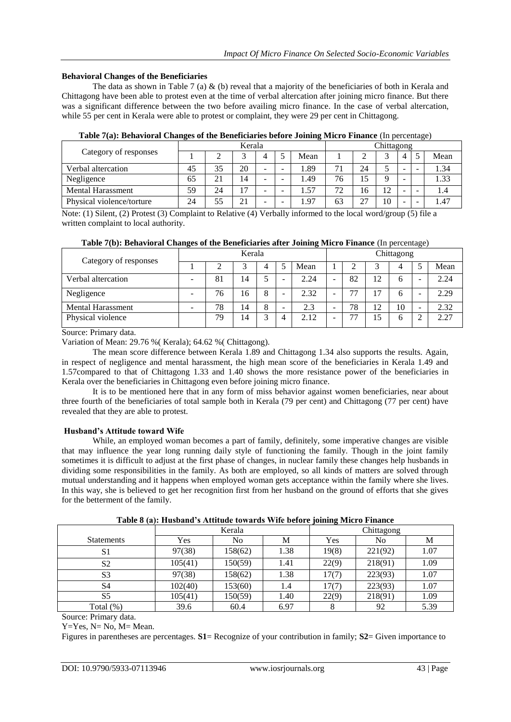## **Behavioral Changes of the Beneficiaries**

The data as shown in Table 7 (a) & (b) reveal that a majority of the beneficiaries of both in Kerala and Chittagong have been able to protest even at the time of verbal altercation after joining micro finance. But there was a significant difference between the two before availing micro finance. In the case of verbal altercation, while 55 per cent in Kerala were able to protest or complaint, they were 29 per cent in Chittagong.

|                           | Kerala |    |                |   |  |      | Chittagong |    |                                   |   |                          |      |
|---------------------------|--------|----|----------------|---|--|------|------------|----|-----------------------------------|---|--------------------------|------|
| Category of responses     |        |    |                |   |  | Mean |            |    | ◠                                 |   |                          | Mean |
| Verbal altercation        | 45     |    | 20             | - |  | .89  | 71         | 24 |                                   |   | -                        | 1.34 |
| Negligence                | 65     | 21 | 14             | - |  | .49  | 76         | 15 | Q                                 | - |                          | .33  |
| <b>Mental Harassment</b>  | 59     | 24 | $\overline{7}$ | - |  | 1.57 | 72         | 16 | 12 <sup>2</sup><br>$\overline{1}$ | - | $\overline{\phantom{0}}$ |      |
| Physical violence/torture | 24     | 55 | 21             | - |  | 1.97 | 63         | 27 | 10                                | - |                          | 4.47 |

## **Table 7(a): Behavioral Changes of the Beneficiaries before Joining Micro Finance** (In percentage)

Note: (1) Silent, (2) Protest (3) Complaint to Relative (4) Verbally informed to the local word/group (5) file a written complaint to local authority.

|                          | Kerala |    |    |                |   |      | Chittagong |    |    |    |  |      |
|--------------------------|--------|----|----|----------------|---|------|------------|----|----|----|--|------|
| Category of responses    |        |    | ⌒  |                |   | Mean |            |    |    |    |  | Mean |
| Verbal altercation       |        | 81 | 14 |                | - | 2.24 | -          | 82 | 12 | h  |  | 2.24 |
| Negligence               |        | 76 | 16 | 8              | - | 2.32 | -          | 77 | 7  | h  |  | 2.29 |
| <b>Mental Harassment</b> | -      | 78 | 14 | 8              | - | 2.3  | -          | 78 | 12 | 10 |  | 2.32 |
| Physical violence        |        | 79 | 14 | $\overline{a}$ |   | 2.12 | -          | 77 |    | h  |  | 2.27 |

|  |  |  | Table 7(b): Behavioral Changes of the Beneficiaries after Joining Micro Finance (In percentage) |  |  |  |
|--|--|--|-------------------------------------------------------------------------------------------------|--|--|--|
|--|--|--|-------------------------------------------------------------------------------------------------|--|--|--|

Source: Primary data.

Variation of Mean: 29.76 %( Kerala); 64.62 %( Chittagong).

The mean score difference between Kerala 1.89 and Chittagong 1.34 also supports the results. Again, in respect of negligence and mental harassment, the high mean score of the beneficiaries in Kerala 1.49 and 1.57compared to that of Chittagong 1.33 and 1.40 shows the more resistance power of the beneficiaries in Kerala over the beneficiaries in Chittagong even before joining micro finance.

It is to be mentioned here that in any form of miss behavior against women beneficiaries, near about three fourth of the beneficiaries of total sample both in Kerala (79 per cent) and Chittagong (77 per cent) have revealed that they are able to protest.

# **Husband's Attitude toward Wife**

While, an employed woman becomes a part of family, definitely, some imperative changes are visible that may influence the year long running daily style of functioning the family. Though in the joint family sometimes it is difficult to adjust at the first phase of changes, in nuclear family these changes help husbands in dividing some responsibilities in the family. As both are employed, so all kinds of matters are solved through mutual understanding and it happens when employed woman gets acceptance within the family where she lives. In this way, she is believed to get her recognition first from her husband on the ground of efforts that she gives for the betterment of the family.

|                   |         | Kerala  |      | Chittagong |         |      |  |  |
|-------------------|---------|---------|------|------------|---------|------|--|--|
| <b>Statements</b> | Yes     | No      | М    | Yes        | No      | М    |  |  |
| S1                | 97(38)  | 158(62) | 1.38 | 19(8)      | 221(92) | 1.07 |  |  |
| S <sub>2</sub>    | 105(41) | 150(59) | 1.41 | 22(9)      | 218(91) | 1.09 |  |  |
| S <sub>3</sub>    | 97(38)  | 158(62) | 1.38 | 17(7)      | 223(93) | 1.07 |  |  |
| S <sub>4</sub>    | 102(40) | 153(60) | 1.4  | 17(7)      | 223(93) | 1.07 |  |  |
| S5                | 105(41) | 150(59) | 1.40 | 22(9)      | 218(91) | 1.09 |  |  |
| Total $(\%)$      | 39.6    | 60.4    | 6.97 | 8          | 92      | 5.39 |  |  |

**Table 8 (a): Husband's Attitude towards Wife before joining Micro Finance**

Source: Primary data.

 $Y=Yes$ ,  $N=No$ ,  $M=Nean$ .

Figures in parentheses are percentages. **S1**= Recognize of your contribution in family; **S2**= Given importance to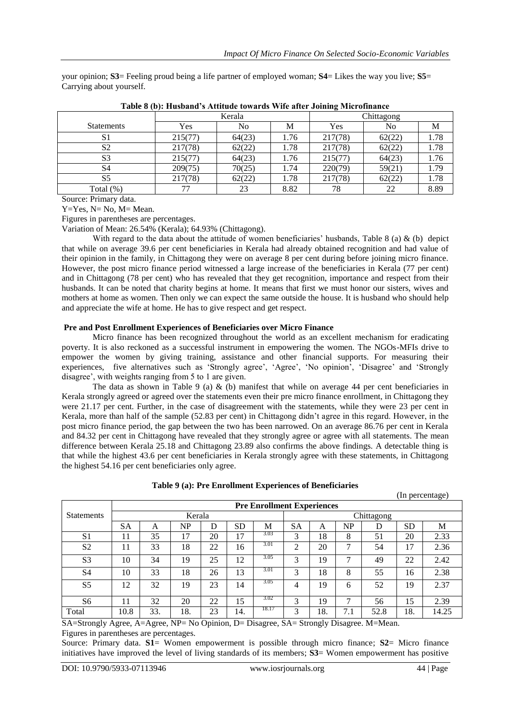your opinion; **S3**= Feeling proud being a life partner of employed woman; **S4**= Likes the way you live; **S5**= Carrying about yourself.

|                   |         | Kerala | Chittagong |         |        |      |
|-------------------|---------|--------|------------|---------|--------|------|
| <b>Statements</b> | Yes     | No     | М          | Yes     | No     | М    |
| S1                | 215(77) | 64(23) | 1.76       | 217(78) | 62(22) | 1.78 |
| S <sub>2</sub>    | 217(78) | 62(22) | 1.78       | 217(78) | 62(22) | 1.78 |
| S <sub>3</sub>    | 215(77) | 64(23) | 1.76       | 215(77) | 64(23) | 1.76 |
| S4                | 209(75) | 70(25) | 1.74       | 220(79) | 59(21) | 1.79 |
| S <sub>5</sub>    | 217(78) | 62(22) | 1.78       | 217(78) | 62(22) | 1.78 |
| Total $(\%)$      | 77      | 23     | 8.82       | 78      | 22     | 8.89 |

|  |  |  |  | Table 8 (b): Husband's Attitude towards Wife after Joining Microfinance |
|--|--|--|--|-------------------------------------------------------------------------|
|  |  |  |  |                                                                         |

Source: Primary data.

Y=Yes, N= No, M= Mean.

Figures in parentheses are percentages.

Variation of Mean: 26.54% (Kerala); 64.93% (Chittagong).

With regard to the data about the attitude of women beneficiaries' husbands, Table 8 (a)  $\&$  (b) depict that while on average 39.6 per cent beneficiaries in Kerala had already obtained recognition and had value of their opinion in the family, in Chittagong they were on average 8 per cent during before joining micro finance. However, the post micro finance period witnessed a large increase of the beneficiaries in Kerala (77 per cent) and in Chittagong (78 per cent) who has revealed that they get recognition, importance and respect from their husbands. It can be noted that charity begins at home. It means that first we must honor our sisters, wives and mothers at home as women. Then only we can expect the same outside the house. It is husband who should help and appreciate the wife at home. He has to give respect and get respect.

### **Pre and Post Enrollment Experiences of Beneficiaries over Micro Finance**

Micro finance has been recognized throughout the world as an excellent mechanism for eradicating poverty. It is also reckoned as a successful instrument in empowering the women. The NGOs-MFIs drive to empower the women by giving training, assistance and other financial supports. For measuring their experiences, five alternatives such as 'Strongly agree', 'Agree', 'No opinion', 'Disagree' and 'Strongly disagree', with weights ranging from 5 to 1 are given.

The data as shown in Table 9 (a) & (b) manifest that while on average 44 per cent beneficiaries in Kerala strongly agreed or agreed over the statements even their pre micro finance enrollment, in Chittagong they were 21.17 per cent. Further, in the case of disagreement with the statements, while they were 23 per cent in Kerala, more than half of the sample (52.83 per cent) in Chittagong didn't agree in this regard. However, in the post micro finance period, the gap between the two has been narrowed. On an average 86.76 per cent in Kerala and 84.32 per cent in Chittagong have revealed that they strongly agree or agree with all statements. The mean difference between Kerala 25.18 and Chittagong 23.89 also confirms the above findings. A detectable thing is that while the highest 43.6 per cent beneficiaries in Kerala strongly agree with these statements, in Chittagong the highest 54.16 per cent beneficiaries only agree.

|                   |                                   |     |           |    |           |       |           |            |     |      |           | $(n$ percentage) |
|-------------------|-----------------------------------|-----|-----------|----|-----------|-------|-----------|------------|-----|------|-----------|------------------|
|                   | <b>Pre Enrollment Experiences</b> |     |           |    |           |       |           |            |     |      |           |                  |
| <b>Statements</b> | Kerala                            |     |           |    |           |       |           | Chittagong |     |      |           |                  |
|                   | <b>SA</b>                         | A   | <b>NP</b> | D  | <b>SD</b> | M     | <b>SA</b> | A          | NP  | D    | <b>SD</b> | М                |
| S <sub>1</sub>    | 11                                | 35  | 17        | 20 | 17        | 3.03  | 3         | 18         | 8   | 51   | 20        | 2.33             |
| S <sub>2</sub>    | 11                                | 33  | 18        | 22 | 16        | 3.01  | ◠         | 20         | ⇁   | 54   | 17        | 2.36             |
| S <sub>3</sub>    | 10                                | 34  | 19        | 25 | 12        | 3.05  | 3         | 19         | ⇁   | 49   | 22        | 2.42             |
| S <sub>4</sub>    | 10                                | 33  | 18        | 26 | 13        | 3.01  | 3         | 18         | 8   | 55   | 16        | 2.38             |
| S <sub>5</sub>    | 12                                | 32  | 19        | 23 | 14        | 3.05  | 4         | 19         | 6   | 52   | 19        | 2.37             |
| S <sub>6</sub>    | 11                                | 32  | 20        | 22 | 15        | 3.02  | 3         | 19         | ⇁   | 56   | 15        | 2.39             |
| Total             | 10.8                              | 33. | 18.       | 23 | 14.       | 18.17 | 3         | 18.        | 7.1 | 52.8 | 18.       | 14.25            |

**Table 9 (a): Pre Enrollment Experiences of Beneficiaries**

SA=Strongly Agree, A=Agree, NP= No Opinion, D= Disagree, SA= Strongly Disagree. M=Mean. Figures in parentheses are percentages.

Source: Primary data. **S1**= Women empowerment is possible through micro finance; **S2**= Micro finance initiatives have improved the level of living standards of its members; **S3**= Women empowerment has positive

 $($ In percentage)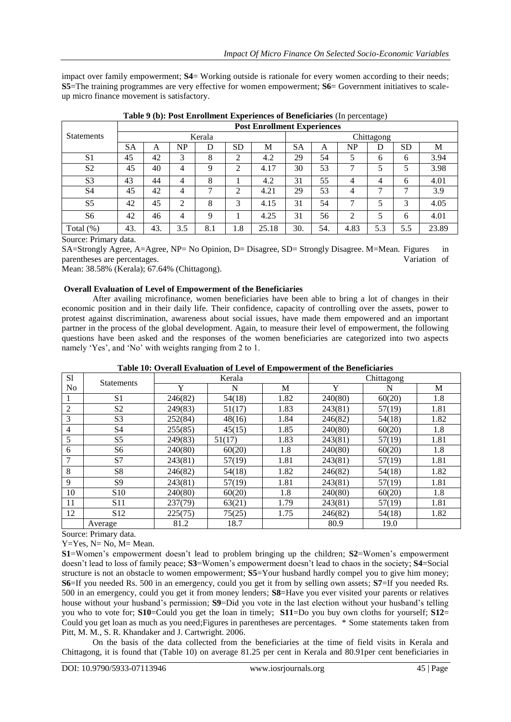impact over family empowerment; **S4**= Working outside is rationale for every women according to their needs; **S5**=The training programmes are very effective for women empowerment; **S6**= Government initiatives to scaleup micro finance movement is satisfactory.

|                   | <b>Post Enrollment Experiences</b> |     |     |     |           |       |           |            |      |     |           |       |  |
|-------------------|------------------------------------|-----|-----|-----|-----------|-------|-----------|------------|------|-----|-----------|-------|--|
| <b>Statements</b> | Kerala                             |     |     |     |           |       |           | Chittagong |      |     |           |       |  |
|                   | <b>SA</b>                          | A   | NP  | D   | <b>SD</b> | М     | <b>SA</b> | A          | NP   | D   | <b>SD</b> | М     |  |
| S <sub>1</sub>    | 45                                 | 42  | 3   | 8   | ↑         | 4.2   | 29        | 54         | 5    | 6   | 6         | 3.94  |  |
| S <sub>2</sub>    | 45                                 | 40  | 4   | q   | ◠         | 4.17  | 30        | 53         | ⇁    | 5   |           | 3.98  |  |
| S <sub>3</sub>    | 43                                 | 44  | 4   | 8   |           | 4.2   | 31        | 55         | 4    | 4   | 6         | 4.01  |  |
| S <sub>4</sub>    | 45                                 | 42  | 4   | ⇁   | ◠         | 4.21  | 29        | 53         | 4    | ⇁   | ⇁         | 3.9   |  |
| S <sub>5</sub>    | 42                                 | 45  | ↑   | 8   | 3         | 4.15  | 31        | 54         | ⇁    |     | 3         | 4.05  |  |
| S <sub>6</sub>    | 42                                 | 46  | 4   | Q   |           | 4.25  | 31        | 56         | 2    |     | 6         | 4.01  |  |
| Total $(\%)$      | 43.                                | 43. | 3.5 | 8.1 | 1.8       | 25.18 | 30.       | 54.        | 4.83 | 5.3 | 5.5       | 23.89 |  |

**Table 9 (b): Post Enrollment Experiences of Beneficiaries** (In percentage)

Source: Primary data.

SA=Strongly Agree, A=Agree, NP= No Opinion, D= Disagree, SD= Strongly Disagree. M=Mean. Figures in parentheses are percentages. Variation of

Mean: 38.58% (Kerala); 67.64% (Chittagong).

## **Overall Evaluation of Level of Empowerment of the Beneficiaries**

After availing microfinance, women beneficiaries have been able to bring a lot of changes in their economic position and in their daily life. Their confidence, capacity of controlling over the assets, power to protest against discrimination, awareness about social issues, have made them empowered and an important partner in the process of the global development. Again, to measure their level of empowerment, the following questions have been asked and the responses of the women beneficiaries are categorized into two aspects namely 'Yes', and 'No' with weights ranging from 2 to 1.

# **Table 10: Overall Evaluation of Level of Empowerment of the Beneficiaries**

| S1 | <b>Statements</b> |         | Kerala |      | Chittagong |        |      |  |
|----|-------------------|---------|--------|------|------------|--------|------|--|
| No |                   | Y       | N      | M    | Y          | N      | M    |  |
|    | S <sub>1</sub>    | 246(82) | 54(18) | 1.82 | 240(80)    | 60(20) | 1.8  |  |
| 2  | S <sub>2</sub>    | 249(83) | 51(17) | 1.83 | 243(81)    | 57(19) | 1.81 |  |
| 3  | S <sub>3</sub>    | 252(84) | 48(16) | 1.84 | 246(82)    | 54(18) | 1.82 |  |
| 4  | S <sub>4</sub>    | 255(85) | 45(15) | 1.85 | 240(80)    | 60(20) | 1.8  |  |
| 5  | S <sub>5</sub>    | 249(83) | 51(17) | 1.83 | 243(81)    | 57(19) | 1.81 |  |
| 6  | S6                | 240(80) | 60(20) | 1.8  | 240(80)    | 60(20) | 1.8  |  |
| 7  | S7                | 243(81) | 57(19) | 1.81 | 243(81)    | 57(19) | 1.81 |  |
| 8  | S <sup>8</sup>    | 246(82) | 54(18) | 1.82 | 246(82)    | 54(18) | 1.82 |  |
| 9  | S9                | 243(81) | 57(19) | 1.81 | 243(81)    | 57(19) | 1.81 |  |
| 10 | S <sub>10</sub>   | 240(80) | 60(20) | 1.8  | 240(80)    | 60(20) | 1.8  |  |
| 11 | <b>S11</b>        | 237(79) | 63(21) | 1.79 | 243(81)    | 57(19) | 1.81 |  |
| 12 | S <sub>12</sub>   | 225(75) | 75(25) | 1.75 | 246(82)    | 54(18) | 1.82 |  |
|    | Average           | 81.2    | 18.7   |      | 80.9       | 19.0   |      |  |

Source: Primary data.

Y=Yes, N= No, M= Mean.

**S1**=Women's empowerment doesn't lead to problem bringing up the children; **S2**=Women's empowerment doesn't lead to loss of family peace; **S3**=Women's empowerment doesn't lead to chaos in the society; **S4**=Social structure is not an obstacle to women empowerment; **S5**=Your husband hardly compel you to give him money; **S6**=If you needed Rs. 500 in an emergency, could you get it from by selling own assets; **S7**=If you needed Rs. 500 in an emergency, could you get it from money lenders; **S8**=Have you ever visited your parents or relatives house without your husband's permission; **S9**=Did you vote in the last election without your husband's telling you who to vote for; **S10**=Could you get the loan in timely; **S11**=Do you buy own cloths for yourself; **S12**= Could you get loan as much as you need;Figures in parentheses are percentages. \* Some statements taken from Pitt, M. M., S. R. Khandaker and J. Cartwright. 2006.

On the basis of the data collected from the beneficiaries at the time of field visits in Kerala and Chittagong, it is found that (Table 10) on average 81.25 per cent in Kerala and 80.91per cent beneficiaries in